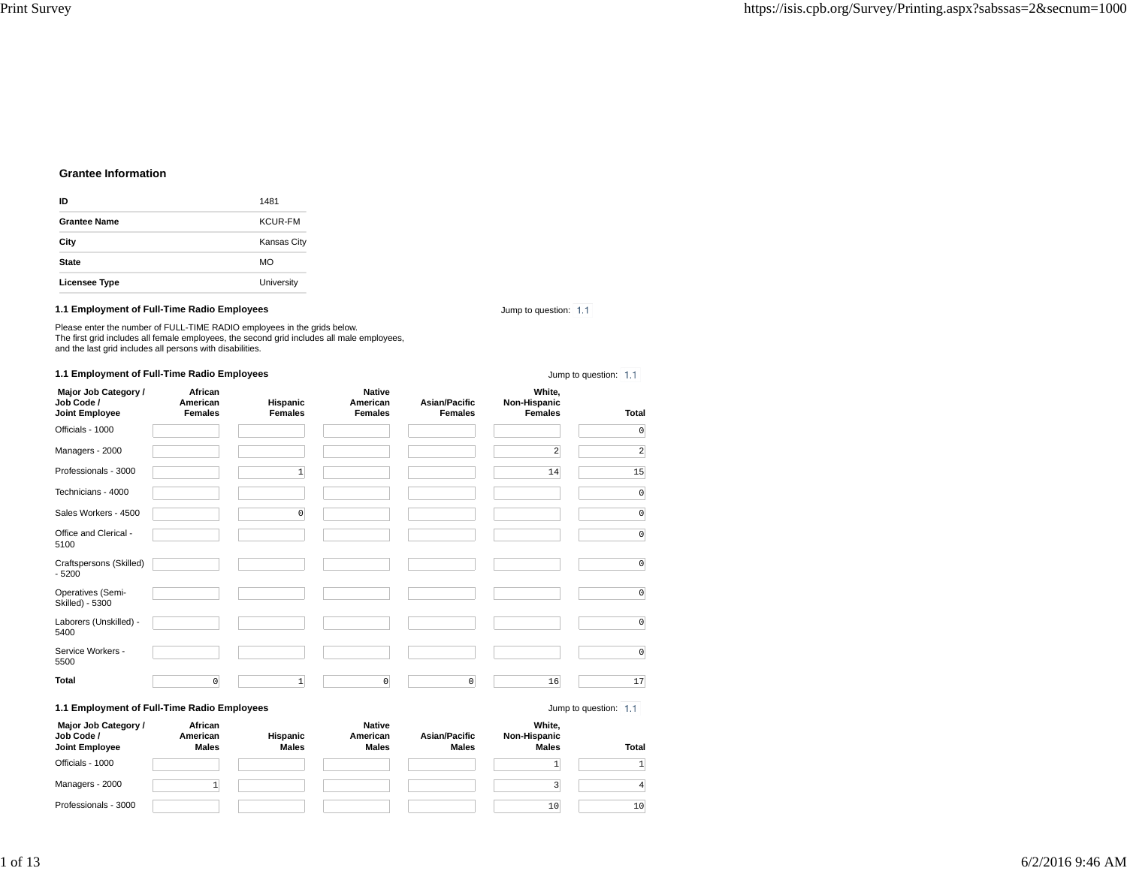# **Grantee Information**

| ID                   | 1481               |
|----------------------|--------------------|
| <b>Grantee Name</b>  | <b>KCUR-FM</b>     |
| City                 | <b>Kansas City</b> |
| <b>State</b>         | <b>MO</b>          |
| <b>Licensee Type</b> | University         |

## **1.1 Employment of Full-Time Radio Employees**

Jump to question: 1.1

Jump to question: 1.1

Please enter the number of FULL-TIME RADIO employees in the grids below. The first grid includes all female employees, the second grid includes all male employees, and the last grid includes all persons with disabilities.

# **1.1 Employment of Full-Time Radio Employees**

| Major Job Category /<br>Job Code /<br>Joint Employee | African<br>American<br><b>Females</b> | Hispanic<br><b>Females</b> | <b>Native</b><br>American<br><b>Females</b> | <b>Asian/Pacific</b><br><b>Females</b> | White,<br>Non-Hispanic<br><b>Females</b> | <b>Total</b>          |
|------------------------------------------------------|---------------------------------------|----------------------------|---------------------------------------------|----------------------------------------|------------------------------------------|-----------------------|
| Officials - 1000                                     |                                       |                            |                                             |                                        |                                          | $\mathbb O$           |
| Managers - 2000                                      |                                       |                            |                                             |                                        | 2                                        | $\overline{a}$        |
| Professionals - 3000                                 |                                       | 1                          |                                             |                                        | 14                                       | 15                    |
| Technicians - 4000                                   |                                       |                            |                                             |                                        |                                          | $\mathbb O$           |
| Sales Workers - 4500                                 |                                       | 0                          |                                             |                                        |                                          | $\mathbb O$           |
| Office and Clerical -<br>5100                        |                                       |                            |                                             |                                        |                                          | $\mathbb O$           |
| Craftspersons (Skilled)<br>$-5200$                   |                                       |                            |                                             |                                        |                                          | $\mathbb O$           |
| Operatives (Semi-<br>Skilled) - 5300                 |                                       |                            |                                             |                                        |                                          | $\mathbb O$           |
| Laborers (Unskilled) -<br>5400                       |                                       |                            |                                             |                                        |                                          | $\mathbb O$           |
| Service Workers -<br>5500                            |                                       |                            |                                             |                                        |                                          | $\mathbb O$           |
| <b>Total</b>                                         | $\mathbf 0$                           | 1                          | $\mathbf 0$                                 | $\mathbf 0$                            | 16                                       | 17                    |
| 1.1 Employment of Full-Time Radio Employees          |                                       |                            |                                             |                                        |                                          | Jump to question: 1.1 |

 **Major Job Category / Job Code / Joint EmployeeAfrican American MalesHispanic MalesNative American MalesAsian/Pacific MalesWhite, Non-Hispanic Males Total** Officials - 1000 $\overline{1}$  <sup>1</sup> Managers - 2000 $\begin{array}{ccc} 0 & 1 \end{array}$  $\frac{1}{3}$   $\frac{1}{3}$   $\frac{4}{3}$ Professionals - 3000 $\sim$  10 <sup>10</sup>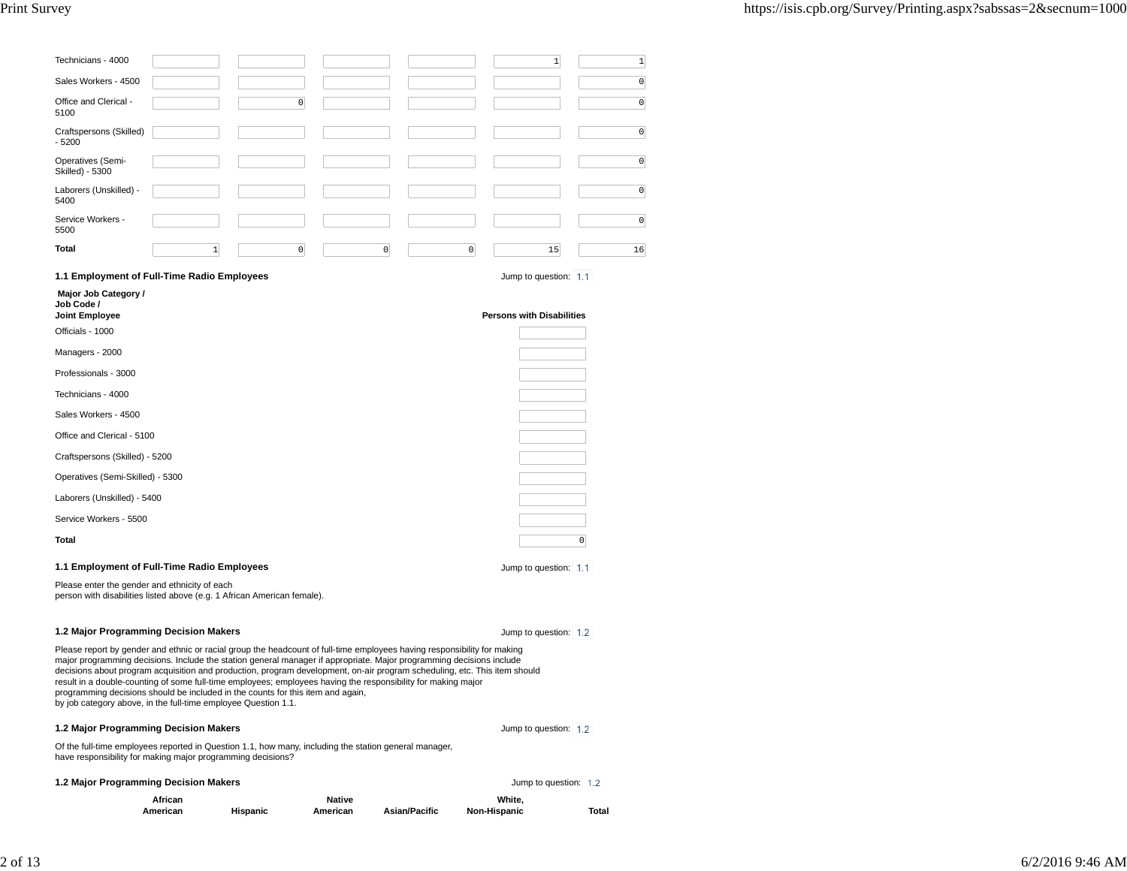| Technicians - 4000                                                                                                                                                                                                                                                                                                                                                                                                                                                                                                                                                                                                                                  |                     |          |                           |   |                      |              | $\mathbf 1$                      | $\mathbf{1}$   |
|-----------------------------------------------------------------------------------------------------------------------------------------------------------------------------------------------------------------------------------------------------------------------------------------------------------------------------------------------------------------------------------------------------------------------------------------------------------------------------------------------------------------------------------------------------------------------------------------------------------------------------------------------------|---------------------|----------|---------------------------|---|----------------------|--------------|----------------------------------|----------------|
| Sales Workers - 4500                                                                                                                                                                                                                                                                                                                                                                                                                                                                                                                                                                                                                                |                     |          |                           |   |                      |              |                                  | $\circ$        |
| Office and Clerical -<br>5100                                                                                                                                                                                                                                                                                                                                                                                                                                                                                                                                                                                                                       |                     | 0        |                           |   |                      |              |                                  | $\circ$        |
| Craftspersons (Skilled)<br>$-5200$                                                                                                                                                                                                                                                                                                                                                                                                                                                                                                                                                                                                                  |                     |          |                           |   |                      |              |                                  | $\overline{0}$ |
| Operatives (Semi-<br>Skilled) - 5300                                                                                                                                                                                                                                                                                                                                                                                                                                                                                                                                                                                                                |                     |          |                           |   |                      |              |                                  | $\circ$        |
| Laborers (Unskilled) -<br>5400                                                                                                                                                                                                                                                                                                                                                                                                                                                                                                                                                                                                                      |                     |          |                           |   |                      |              |                                  | $\circ$        |
| Service Workers -<br>5500                                                                                                                                                                                                                                                                                                                                                                                                                                                                                                                                                                                                                           |                     |          |                           |   |                      |              |                                  | $\circ$        |
| Total                                                                                                                                                                                                                                                                                                                                                                                                                                                                                                                                                                                                                                               | $\mathbf{1}$        | 0        |                           | 0 |                      | 0            | 15                               | 16             |
| 1.1 Employment of Full-Time Radio Employees                                                                                                                                                                                                                                                                                                                                                                                                                                                                                                                                                                                                         |                     |          |                           |   |                      |              | Jump to question: 1.1            |                |
| Major Job Category /<br>Job Code /                                                                                                                                                                                                                                                                                                                                                                                                                                                                                                                                                                                                                  |                     |          |                           |   |                      |              |                                  |                |
| Joint Employee<br>Officials - 1000                                                                                                                                                                                                                                                                                                                                                                                                                                                                                                                                                                                                                  |                     |          |                           |   |                      |              | <b>Persons with Disabilities</b> |                |
| Managers - 2000                                                                                                                                                                                                                                                                                                                                                                                                                                                                                                                                                                                                                                     |                     |          |                           |   |                      |              |                                  |                |
| Professionals - 3000                                                                                                                                                                                                                                                                                                                                                                                                                                                                                                                                                                                                                                |                     |          |                           |   |                      |              |                                  |                |
| Technicians - 4000                                                                                                                                                                                                                                                                                                                                                                                                                                                                                                                                                                                                                                  |                     |          |                           |   |                      |              |                                  |                |
| Sales Workers - 4500                                                                                                                                                                                                                                                                                                                                                                                                                                                                                                                                                                                                                                |                     |          |                           |   |                      |              |                                  |                |
| Office and Clerical - 5100                                                                                                                                                                                                                                                                                                                                                                                                                                                                                                                                                                                                                          |                     |          |                           |   |                      |              |                                  |                |
| Craftspersons (Skilled) - 5200                                                                                                                                                                                                                                                                                                                                                                                                                                                                                                                                                                                                                      |                     |          |                           |   |                      |              |                                  |                |
| Operatives (Semi-Skilled) - 5300                                                                                                                                                                                                                                                                                                                                                                                                                                                                                                                                                                                                                    |                     |          |                           |   |                      |              |                                  |                |
| Laborers (Unskilled) - 5400                                                                                                                                                                                                                                                                                                                                                                                                                                                                                                                                                                                                                         |                     |          |                           |   |                      |              |                                  |                |
| Service Workers - 5500                                                                                                                                                                                                                                                                                                                                                                                                                                                                                                                                                                                                                              |                     |          |                           |   |                      |              |                                  |                |
| Total                                                                                                                                                                                                                                                                                                                                                                                                                                                                                                                                                                                                                                               |                     |          |                           |   |                      |              |                                  | $\circ$        |
| 1.1 Employment of Full-Time Radio Employees                                                                                                                                                                                                                                                                                                                                                                                                                                                                                                                                                                                                         |                     |          |                           |   |                      |              | Jump to question: 1.1            |                |
| Please enter the gender and ethnicity of each<br>person with disabilities listed above (e.g. 1 African American female).                                                                                                                                                                                                                                                                                                                                                                                                                                                                                                                            |                     |          |                           |   |                      |              |                                  |                |
| 1.2 Major Programming Decision Makers                                                                                                                                                                                                                                                                                                                                                                                                                                                                                                                                                                                                               |                     |          |                           |   |                      |              | Jump to question: 1.2            |                |
| Please report by gender and ethnic or racial group the headcount of full-time employees having responsibility for making<br>major programming decisions. Include the station general manager if appropriate. Major programming decisions include<br>decisions about program acquisition and production, program development, on-air program scheduling, etc. This item should<br>result in a double-counting of some full-time employees; employees having the responsibility for making major<br>programming decisions should be included in the counts for this item and again,<br>by job category above, in the full-time employee Question 1.1. |                     |          |                           |   |                      |              |                                  |                |
| 1.2 Major Programming Decision Makers                                                                                                                                                                                                                                                                                                                                                                                                                                                                                                                                                                                                               |                     |          |                           |   |                      |              | Jump to question: 1.2            |                |
| Of the full-time employees reported in Question 1.1, how many, including the station general manager,<br>have responsibility for making major programming decisions?                                                                                                                                                                                                                                                                                                                                                                                                                                                                                |                     |          |                           |   |                      |              |                                  |                |
| 1.2 Major Programming Decision Makers                                                                                                                                                                                                                                                                                                                                                                                                                                                                                                                                                                                                               |                     |          |                           |   |                      |              | Jump to question: 1.2            |                |
|                                                                                                                                                                                                                                                                                                                                                                                                                                                                                                                                                                                                                                                     | African<br>American | Hispanic | <b>Native</b><br>American |   | <b>Asian/Pacific</b> | Non-Hispanic | White,                           | Total          |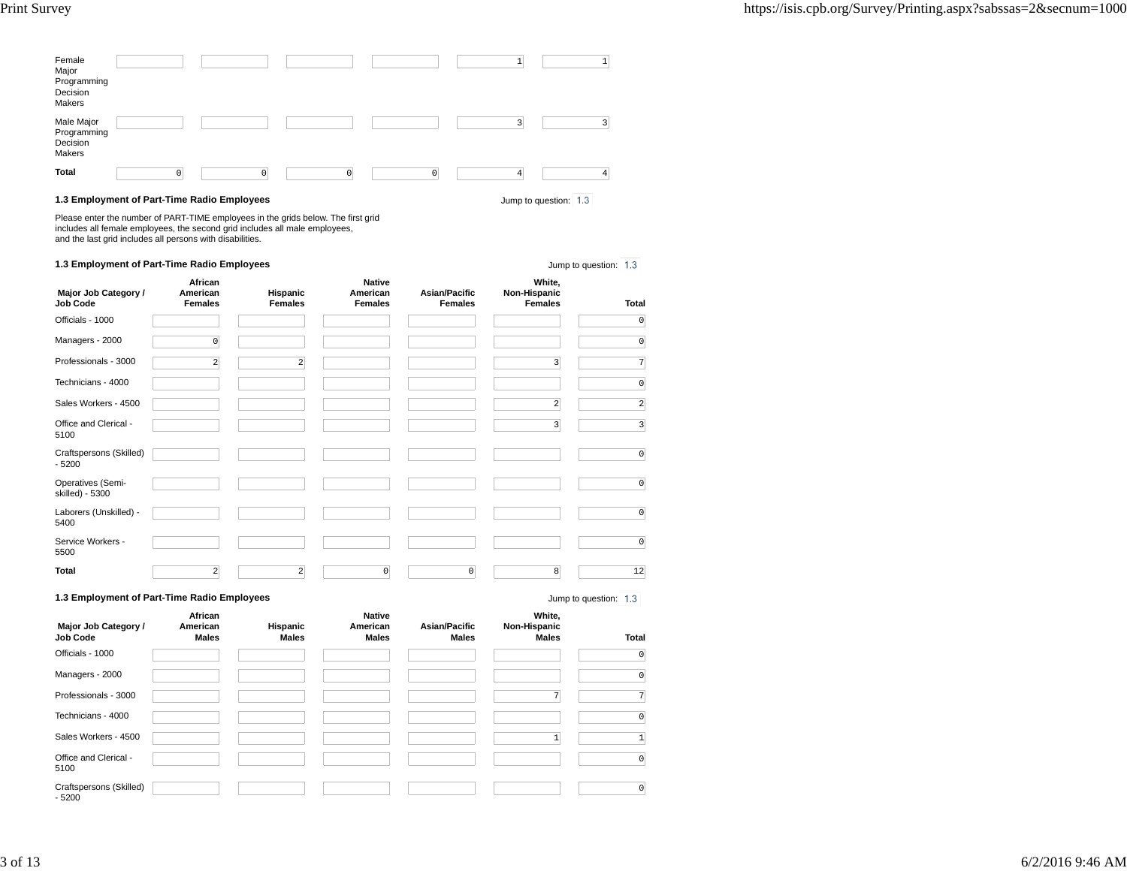| Female<br>Major<br>Programming<br>Decision<br>Makers |          |          |   |   |                |
|------------------------------------------------------|----------|----------|---|---|----------------|
| Male Major<br>Programming<br>Decision<br>Makers      |          |          |   |   | $\overline{ }$ |
| <b>Total</b>                                         | $\Omega$ | $\Omega$ | 0 | Δ | 4              |

## **1.3 Employment of Part-Time Radio Employees**

Please enter the number of PART-TIME employees in the grids below. The first grid includes all female employees, the second grid includes all male employees, and the last grid includes all persons with disabilities.

# **1.3 Employment of Part-Time Radio Employees**

Jump to question: 1.3

Jump to question: 1.3

| Major Job Category /<br>Job Code     | African<br>American<br><b>Females</b> | Hispanic<br><b>Females</b> | <b>Native</b><br>American<br><b>Females</b> | <b>Asian/Pacific</b><br><b>Females</b> | White,<br>Non-Hispanic<br><b>Females</b> | Total                   |
|--------------------------------------|---------------------------------------|----------------------------|---------------------------------------------|----------------------------------------|------------------------------------------|-------------------------|
| Officials - 1000                     |                                       |                            |                                             |                                        |                                          | $\overline{0}$          |
| Managers - 2000                      | $\overline{0}$                        |                            |                                             |                                        |                                          | $\overline{0}$          |
| Professionals - 3000                 | $\overline{2}$                        | $\overline{2}$             |                                             |                                        | 3                                        | $\overline{7}$          |
| Technicians - 4000                   |                                       |                            |                                             |                                        |                                          | $\circ$                 |
| Sales Workers - 4500                 |                                       |                            |                                             |                                        | $\overline{\mathbf{c}}$                  | $\overline{2}$          |
| Office and Clerical -<br>5100        |                                       |                            |                                             |                                        | $\overline{\mathbf{3}}$                  | $\overline{\mathbf{3}}$ |
| Craftspersons (Skilled)<br>$-5200$   |                                       |                            |                                             |                                        |                                          | $\Omega$                |
| Operatives (Semi-<br>skilled) - 5300 |                                       |                            |                                             |                                        |                                          | $\overline{0}$          |
| Laborers (Unskilled) -<br>5400       |                                       |                            |                                             |                                        |                                          | 0                       |
| Service Workers -<br>5500            |                                       |                            |                                             |                                        |                                          | $\overline{0}$          |
| Total                                | $\overline{2}$                        | $\overline{2}$             | $\mathbb O$                                 | $\circ$                                | 8                                        | 12                      |

## **1.3 Employment of Part-Time Radio Employees**

Jump to question: 1.3

| Major Job Category /<br>Job Code   | African<br>American<br><b>Males</b> | Hispanic<br><b>Males</b> | <b>Native</b><br>American<br><b>Males</b> | <b>Asian/Pacific</b><br><b>Males</b> | White,<br>Non-Hispanic<br><b>Males</b> | Total          |
|------------------------------------|-------------------------------------|--------------------------|-------------------------------------------|--------------------------------------|----------------------------------------|----------------|
| Officials - 1000                   |                                     |                          |                                           |                                      |                                        | $\circ$        |
| Managers - 2000                    |                                     |                          |                                           |                                      |                                        | $\circ$        |
| Professionals - 3000               |                                     |                          |                                           |                                      | $\overline{7}$                         | 7              |
| Technicians - 4000                 |                                     |                          |                                           |                                      |                                        | $\mathbb O$    |
| Sales Workers - 4500               |                                     |                          |                                           |                                      |                                        | $\mathbf{1}$   |
| Office and Clerical -<br>5100      |                                     |                          |                                           |                                      |                                        | $\circ$        |
| Craftspersons (Skilled)<br>$-5200$ |                                     |                          |                                           |                                      |                                        | $\overline{0}$ |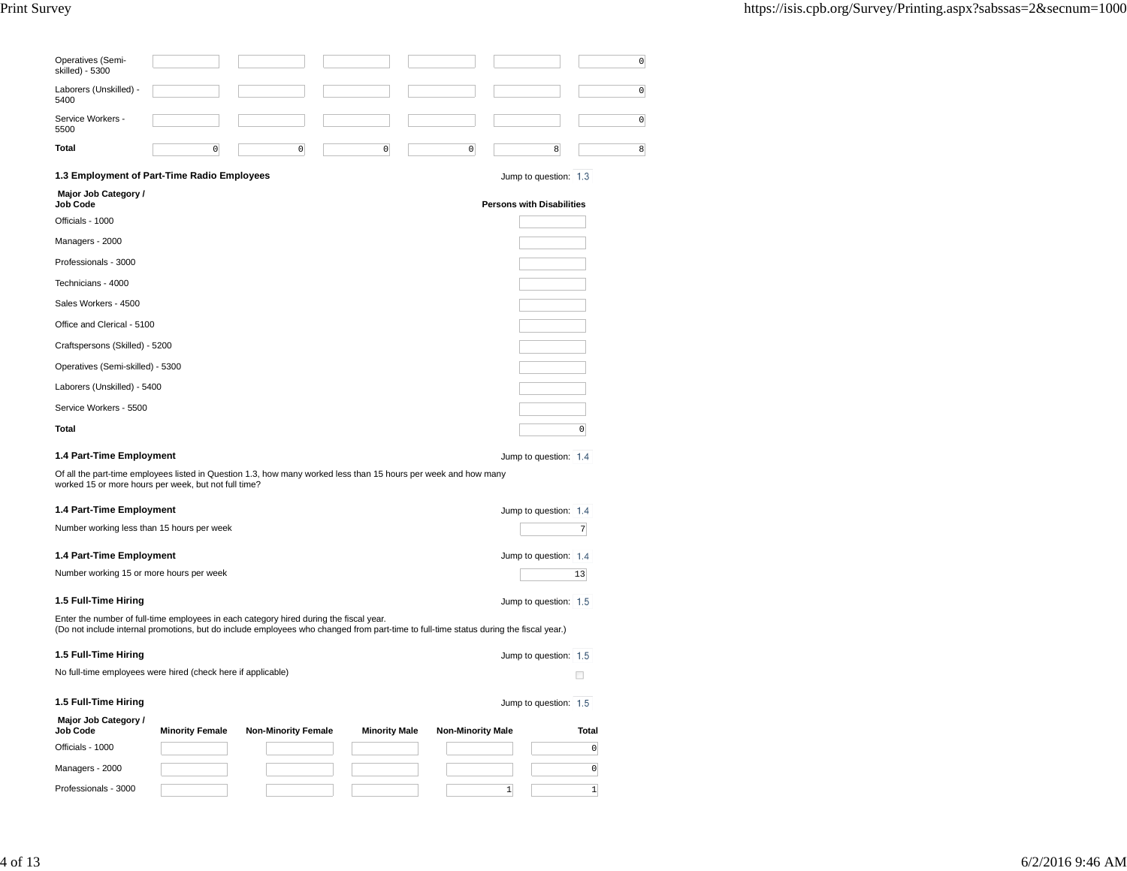| Operatives (Semi-<br>skilled) - 5300                                                                                                                                                                                            | 0                                                     |
|---------------------------------------------------------------------------------------------------------------------------------------------------------------------------------------------------------------------------------|-------------------------------------------------------|
| Laborers (Unskilled) -<br>5400                                                                                                                                                                                                  | $\circ$                                               |
| Service Workers -<br>5500                                                                                                                                                                                                       | $\circ$                                               |
| Total<br>$\overline{0}$<br>0<br>$\mathsf 0$                                                                                                                                                                                     | $\mathsf 0$<br>8<br>8                                 |
| 1.3 Employment of Part-Time Radio Employees                                                                                                                                                                                     | Jump to question: 1.3                                 |
| Major Job Category /<br>Job Code                                                                                                                                                                                                | <b>Persons with Disabilities</b>                      |
| Officials - 1000                                                                                                                                                                                                                |                                                       |
| Managers - 2000                                                                                                                                                                                                                 |                                                       |
| Professionals - 3000                                                                                                                                                                                                            |                                                       |
| Technicians - 4000                                                                                                                                                                                                              |                                                       |
| Sales Workers - 4500                                                                                                                                                                                                            |                                                       |
| Office and Clerical - 5100                                                                                                                                                                                                      |                                                       |
| Craftspersons (Skilled) - 5200                                                                                                                                                                                                  |                                                       |
| Operatives (Semi-skilled) - 5300                                                                                                                                                                                                |                                                       |
| Laborers (Unskilled) - 5400                                                                                                                                                                                                     |                                                       |
| Service Workers - 5500                                                                                                                                                                                                          |                                                       |
| Total                                                                                                                                                                                                                           | $\mathsf{O}\!\!\!\!\rule{0.3pt}{1.1ex}\hspace{0.2pt}$ |
| 1.4 Part-Time Employment                                                                                                                                                                                                        | Jump to question: 1.4                                 |
| Of all the part-time employees listed in Question 1.3, how many worked less than 15 hours per week and how many<br>worked 15 or more hours per week, but not full time?                                                         |                                                       |
| 1.4 Part-Time Employment                                                                                                                                                                                                        | Jump to question: 1.4                                 |
| Number working less than 15 hours per week                                                                                                                                                                                      | 7                                                     |
| 1.4 Part-Time Employment                                                                                                                                                                                                        | Jump to question: 1.4                                 |
| Number working 15 or more hours per week                                                                                                                                                                                        | 13                                                    |
| 1.5 Full-Time Hiring                                                                                                                                                                                                            | Jump to question: 1.5                                 |
| Enter the number of full-time employees in each category hired during the fiscal year.<br>(Do not include internal promotions, but do include employees who changed from part-time to full-time status during the fiscal year.) |                                                       |
| 1.5 Full-Time Hiring                                                                                                                                                                                                            | Jump to question: 1.5                                 |
| No full-time employees were hired (check here if applicable)                                                                                                                                                                    | □                                                     |
| 1.5 Full-Time Hiring                                                                                                                                                                                                            | Jump to question: 1.5                                 |
| Major Job Category /                                                                                                                                                                                                            |                                                       |
| <b>Job Code</b><br><b>Minority Female</b><br><b>Non-Minority Female</b><br><b>Minority Male</b>                                                                                                                                 | <b>Non-Minority Male</b><br>Total                     |
| Officials - 1000                                                                                                                                                                                                                | $\circ$                                               |
| Managers - 2000                                                                                                                                                                                                                 | $\mathsf{O}\xspace$                                   |
| Professionals - 3000                                                                                                                                                                                                            | $\ensuremath{\mathbbm{1}}$<br>$\mathbf{1}$            |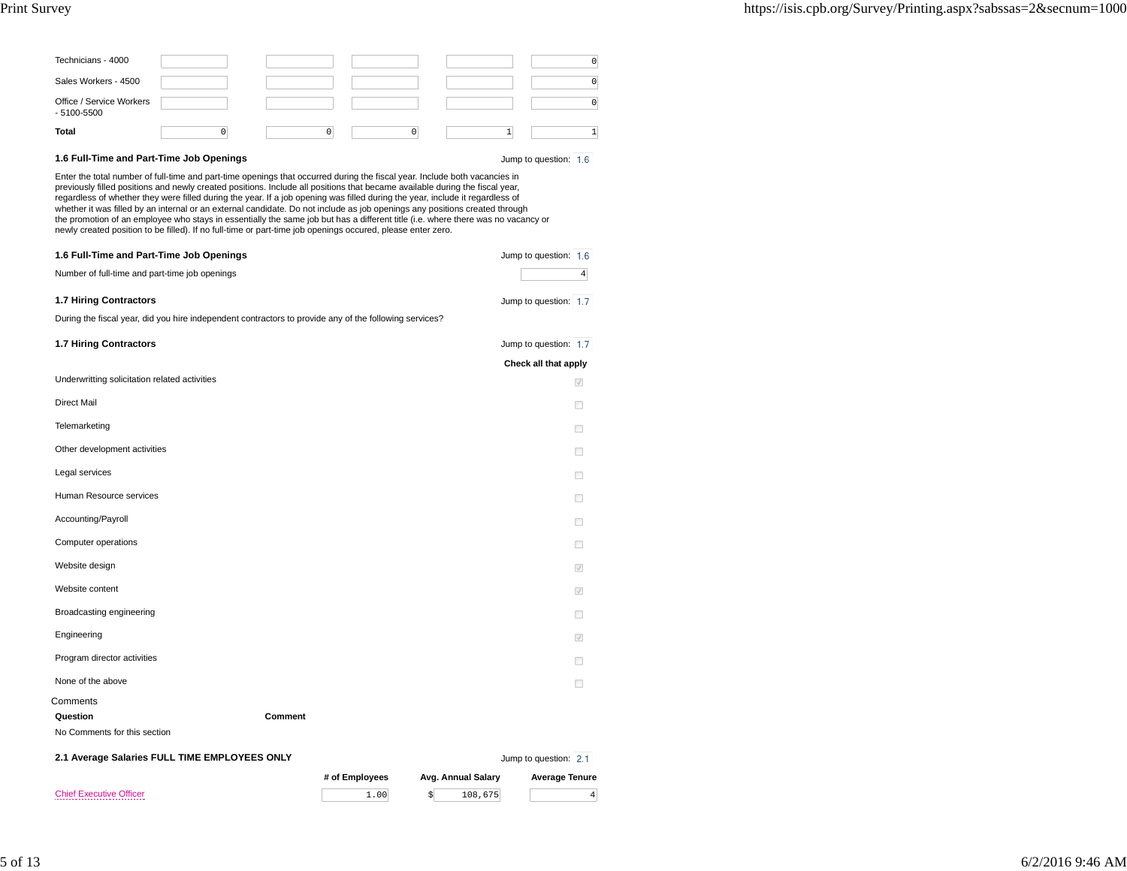| Technicians - 4000                         |  |  |  |  |  |
|--------------------------------------------|--|--|--|--|--|
| Sales Workers - 4500                       |  |  |  |  |  |
| Office / Service Workers<br>$-5100 - 5500$ |  |  |  |  |  |
| Total                                      |  |  |  |  |  |

## **1.6 Full-Time and Part-Time Job Openings**

Jump to question: 1.6

Enter the total number of full-time and part-time openings that occurred during the fiscal year. Include both vacancies in previously filled positions and newly created positions. Include all positions that became available during the fiscal year,regardless of whether they were filled during the year. If a job opening was filled during the year, include it regardless of<br>whether it was filled by an internal or an external candidate. Do not include as job openings an newly created position to be filled). If no full-time or part-time job openings occured, please enter zero.

| 1.6 Full-Time and Part-Time Job Openings<br>Number of full-time and part-time job openings             |         | Jump to question: 1.6<br>$\overline{4}$ |
|--------------------------------------------------------------------------------------------------------|---------|-----------------------------------------|
| 1.7 Hiring Contractors                                                                                 |         | Jump to question: 1.7                   |
| During the fiscal year, did you hire independent contractors to provide any of the following services? |         |                                         |
| 1.7 Hiring Contractors                                                                                 |         | Jump to question: 1.7                   |
|                                                                                                        |         | Check all that apply                    |
| Underwritting solicitation related activities                                                          |         | $\checkmark$                            |
| <b>Direct Mail</b>                                                                                     |         | п                                       |
| Telemarketing                                                                                          |         | п                                       |
| Other development activities                                                                           |         | п                                       |
| Legal services                                                                                         |         | п                                       |
| Human Resource services                                                                                |         | П                                       |
| Accounting/Payroll                                                                                     |         | п                                       |
| Computer operations                                                                                    |         |                                         |
| Website design                                                                                         |         | $\sqrt{}$                               |
| Website content                                                                                        |         | $\checkmark$                            |
| Broadcasting engineering                                                                               |         | п                                       |
| Engineering                                                                                            |         | $\sqrt{}$                               |
| Program director activities                                                                            |         |                                         |
| None of the above                                                                                      |         |                                         |
| Comments                                                                                               |         |                                         |
| Question                                                                                               | Comment |                                         |

No Comments for this section

|  |  |  |  |  |  | 2.1 Average Salaries FULL TIME EMPLOYEES ONLY |  |
|--|--|--|--|--|--|-----------------------------------------------|--|
|--|--|--|--|--|--|-----------------------------------------------|--|

Jump to question: 2.1

 $\sim$  1.00 \$ 108,675 4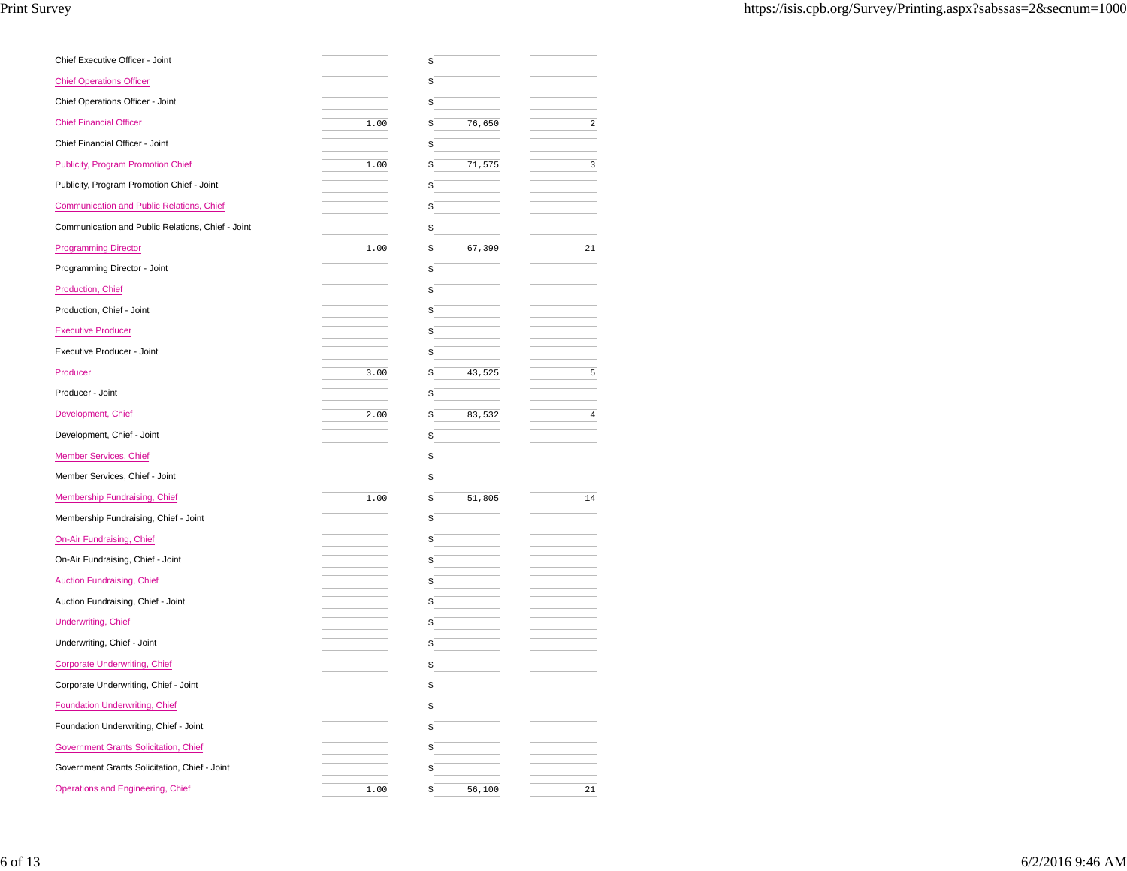| Chief Executive Officer - Joint                   |      | \$           |                         |
|---------------------------------------------------|------|--------------|-------------------------|
| <b>Chief Operations Officer</b>                   |      | \$           |                         |
| Chief Operations Officer - Joint                  |      | \$           |                         |
| <b>Chief Financial Officer</b>                    | 1.00 | \$<br>76,650 | $\overline{a}$          |
| Chief Financial Officer - Joint                   |      | \$           |                         |
| <b>Publicity, Program Promotion Chief</b>         | 1.00 | \$<br>71,575 | $\overline{\mathbf{3}}$ |
| Publicity, Program Promotion Chief - Joint        |      | \$           |                         |
| Communication and Public Relations, Chief         |      | \$           |                         |
| Communication and Public Relations, Chief - Joint |      | \$           |                         |
| <b>Programming Director</b>                       | 1.00 | 67,399<br>\$ | 21                      |
| Programming Director - Joint                      |      | \$           |                         |
| Production, Chief                                 |      | \$           |                         |
| Production, Chief - Joint                         |      | \$           |                         |
| <b>Executive Producer</b>                         |      | \$           |                         |
| Executive Producer - Joint                        |      | \$           |                         |
| Producer                                          | 3.00 | \$<br>43,525 | 5 <sup>1</sup>          |
| Producer - Joint                                  |      | \$           |                         |
| Development, Chief                                | 2.00 | \$<br>83,532 | $\overline{4}$          |
| Development, Chief - Joint                        |      | \$           |                         |
| <b>Member Services, Chief</b>                     |      | \$           |                         |
| Member Services, Chief - Joint                    |      | \$           |                         |
| Membership Fundraising, Chief                     | 1.00 | 51,805<br>\$ | 14                      |
| Membership Fundraising, Chief - Joint             |      | \$           |                         |
| <b>On-Air Fundraising, Chief</b>                  |      | \$           |                         |
| On-Air Fundraising, Chief - Joint                 |      | \$           |                         |
| <b>Auction Fundraising, Chief</b>                 |      | \$           |                         |
| Auction Fundraising, Chief - Joint                |      | \$           |                         |
| <b>Underwriting, Chief</b>                        |      | \$           |                         |
| Underwriting, Chief - Joint                       |      | \$           |                         |
| <b>Corporate Underwriting, Chief</b>              |      | \$           |                         |
| Corporate Underwriting, Chief - Joint             |      |              |                         |
| Foundation Underwriting, Chief                    |      | \$           |                         |
| Foundation Underwriting, Chief - Joint            |      | \$           |                         |
| Government Grants Solicitation, Chief             |      | \$           |                         |
| Government Grants Solicitation, Chief - Joint     |      | \$           |                         |
| Operations and Engineering, Chief                 | 1.00 | \$<br>56,100 | 21                      |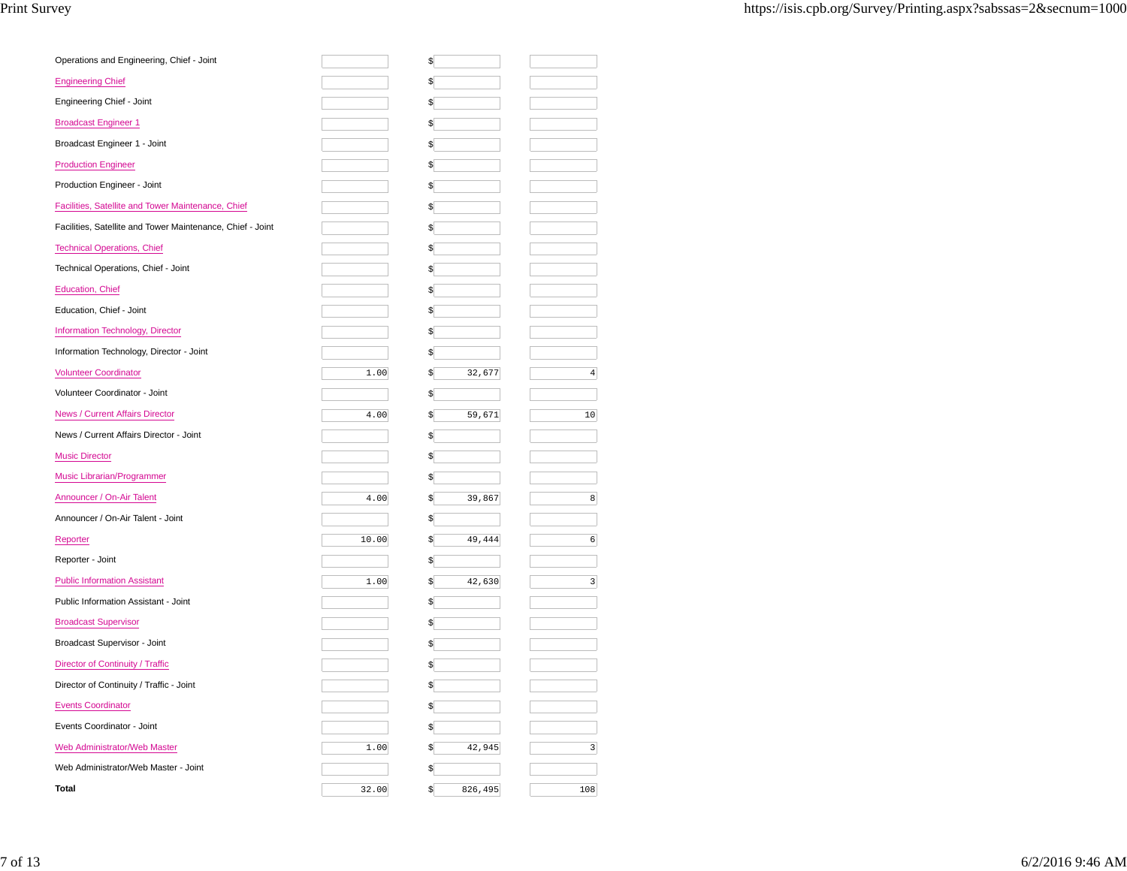| Operations and Engineering, Chief - Joint                  |       | \$           |                         |
|------------------------------------------------------------|-------|--------------|-------------------------|
| <b>Engineering Chief</b>                                   |       | \$           |                         |
| Engineering Chief - Joint                                  |       | \$           |                         |
| <b>Broadcast Engineer 1</b>                                |       | \$           |                         |
| Broadcast Engineer 1 - Joint                               |       |              |                         |
| <b>Production Engineer</b>                                 |       | S            |                         |
| Production Engineer - Joint                                |       |              |                         |
| Facilities, Satellite and Tower Maintenance, Chief         |       |              |                         |
| Facilities, Satellite and Tower Maintenance, Chief - Joint |       |              |                         |
| <b>Technical Operations, Chief</b>                         |       |              |                         |
| Technical Operations, Chief - Joint                        |       | \$           |                         |
| <b>Education, Chief</b>                                    |       | S            |                         |
| Education, Chief - Joint                                   |       | \$           |                         |
| Information Technology, Director                           |       |              |                         |
| Information Technology, Director - Joint                   |       |              |                         |
| <b>Volunteer Coordinator</b>                               | 1.00  | 32,677       | $\overline{4}$          |
| Volunteer Coordinator - Joint                              |       |              |                         |
| News / Current Affairs Director                            | 4.00  | 59,671<br>\$ | 10                      |
|                                                            |       |              |                         |
| News / Current Affairs Director - Joint                    |       | \$           |                         |
| <b>Music Director</b>                                      |       | \$           |                         |
| Music Librarian/Programmer                                 |       |              |                         |
| Announcer / On-Air Talent                                  | 4.00  | 39,867<br>\$ | 8                       |
| Announcer / On-Air Talent - Joint                          |       |              |                         |
| Reporter                                                   | 10.00 | 49,444<br>\$ | $6 \overline{6}$        |
| Reporter - Joint                                           |       |              |                         |
| <b>Public Information Assistant</b>                        | 1.00  | 42,630<br>\$ | $\overline{\mathbf{3}}$ |
| Public Information Assistant - Joint                       |       | \$           |                         |
| <b>Broadcast Supervisor</b>                                |       |              |                         |
| Broadcast Supervisor - Joint                               |       | \$           |                         |
| Director of Continuity / Traffic                           |       |              |                         |
| Director of Continuity / Traffic - Joint                   |       |              |                         |
| <b>Events Coordinator</b>                                  |       | \$           |                         |
| Events Coordinator - Joint                                 |       | \$           |                         |
| Web Administrator/Web Master                               | 1.00  | 42,945<br>\$ | $\overline{\mathbf{3}}$ |
| Web Administrator/Web Master - Joint                       |       | \$           |                         |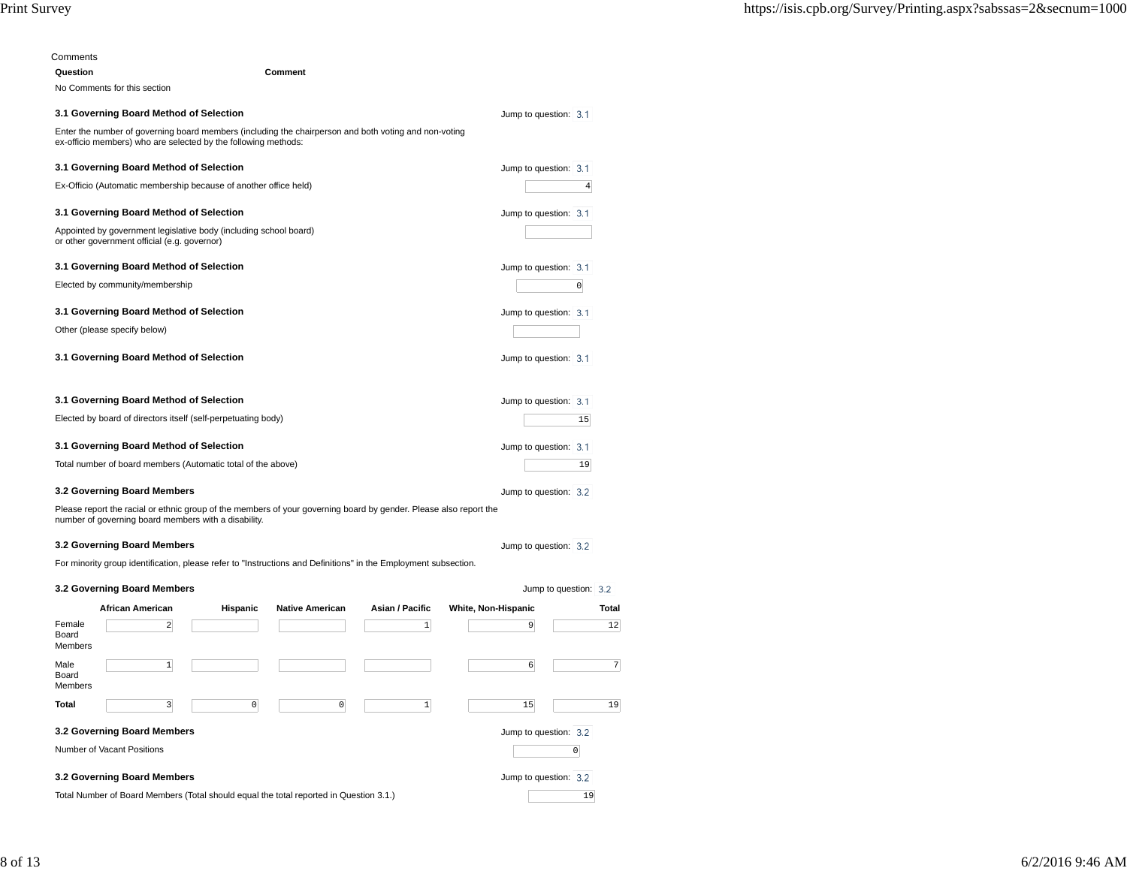| Comments |                                                                                                                                                                           |          |                        |                 |                            |                       |                |
|----------|---------------------------------------------------------------------------------------------------------------------------------------------------------------------------|----------|------------------------|-----------------|----------------------------|-----------------------|----------------|
| Question |                                                                                                                                                                           |          | Comment                |                 |                            |                       |                |
|          | No Comments for this section                                                                                                                                              |          |                        |                 |                            |                       |                |
|          | 3.1 Governing Board Method of Selection                                                                                                                                   |          |                        |                 |                            | Jump to question: 3.1 |                |
|          | Enter the number of governing board members (including the chairperson and both voting and non-voting<br>ex-officio members) who are selected by the following methods:   |          |                        |                 |                            |                       |                |
|          | 3.1 Governing Board Method of Selection                                                                                                                                   |          |                        |                 |                            | Jump to question: 3.1 |                |
|          | Ex-Officio (Automatic membership because of another office held)                                                                                                          |          |                        |                 |                            |                       | $\overline{4}$ |
|          | 3.1 Governing Board Method of Selection                                                                                                                                   |          |                        |                 |                            | Jump to question: 3.1 |                |
|          | Appointed by government legislative body (including school board)<br>or other government official (e.g. governor)                                                         |          |                        |                 |                            |                       |                |
|          | 3.1 Governing Board Method of Selection                                                                                                                                   |          |                        |                 |                            | Jump to question: 3.1 |                |
|          | Elected by community/membership                                                                                                                                           |          |                        |                 |                            |                       | $\overline{0}$ |
|          | 3.1 Governing Board Method of Selection                                                                                                                                   |          |                        |                 |                            | Jump to question: 3.1 |                |
|          | Other (please specify below)                                                                                                                                              |          |                        |                 |                            |                       |                |
|          | 3.1 Governing Board Method of Selection                                                                                                                                   |          |                        |                 |                            | Jump to question: 3.1 |                |
|          | 3.1 Governing Board Method of Selection                                                                                                                                   |          |                        |                 |                            | Jump to question: 3.1 |                |
|          | Elected by board of directors itself (self-perpetuating body)                                                                                                             |          |                        |                 |                            |                       | 15             |
|          | 3.1 Governing Board Method of Selection                                                                                                                                   |          |                        |                 |                            | Jump to question: 3.1 |                |
|          | Total number of board members (Automatic total of the above)                                                                                                              |          |                        |                 |                            |                       | 19             |
|          | 3.2 Governing Board Members                                                                                                                                               |          |                        |                 |                            | Jump to question: 3.2 |                |
|          | Please report the racial or ethnic group of the members of your governing board by gender. Please also report the<br>number of governing board members with a disability. |          |                        |                 |                            |                       |                |
|          | 3.2 Governing Board Members                                                                                                                                               |          |                        |                 |                            | Jump to question: 3.2 |                |
|          | For minority group identification, please refer to "Instructions and Definitions" in the Employment subsection.                                                           |          |                        |                 |                            |                       |                |
|          | 3.2 Governing Board Members                                                                                                                                               |          |                        |                 |                            | Jump to question: 3.2 |                |
|          | <b>African American</b>                                                                                                                                                   | Hispanic | <b>Native American</b> | Asian / Pacific | <b>White, Non-Hispanic</b> |                       | Total          |
|          |                                                                                                                                                                           |          |                        |                 |                            |                       |                |

| Female                                               | $\overline{2}$                                                                         |  |  |          | 1 | 9  | 12 |  |  |
|------------------------------------------------------|----------------------------------------------------------------------------------------|--|--|----------|---|----|----|--|--|
| Board<br>Members                                     |                                                                                        |  |  |          |   |    |    |  |  |
| Male<br>Board<br>Members                             | 1                                                                                      |  |  |          |   | 6  |    |  |  |
| <b>Total</b>                                         | 3                                                                                      |  |  | $\Omega$ | 1 | 15 | 19 |  |  |
| 3.2 Governing Board Members<br>Jump to question: 3.2 |                                                                                        |  |  |          |   |    |    |  |  |
|                                                      | Number of Vacant Positions                                                             |  |  |          |   |    |    |  |  |
| 3.2 Governing Board Members                          | Jump to question: 3.2                                                                  |  |  |          |   |    |    |  |  |
|                                                      | Total Number of Board Members (Total should equal the total reported in Question 3.1.) |  |  |          |   |    |    |  |  |
|                                                      |                                                                                        |  |  |          |   |    |    |  |  |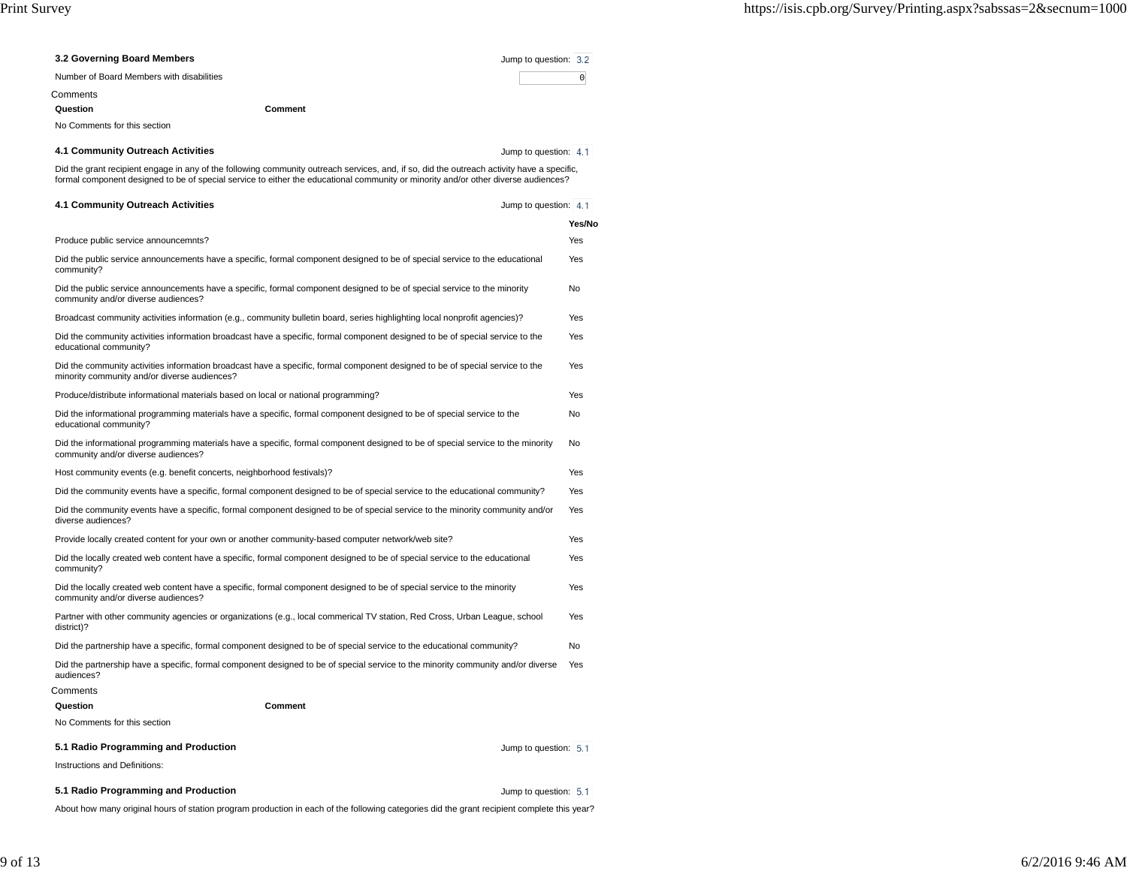| 3.2 Governing Board Members                                                                                                                                                                                                                                                      | Jump to question: 3.2 |                |
|----------------------------------------------------------------------------------------------------------------------------------------------------------------------------------------------------------------------------------------------------------------------------------|-----------------------|----------------|
| Number of Board Members with disabilities                                                                                                                                                                                                                                        |                       | $\overline{0}$ |
| Comments                                                                                                                                                                                                                                                                         |                       |                |
| Comment<br>Question                                                                                                                                                                                                                                                              |                       |                |
| No Comments for this section                                                                                                                                                                                                                                                     |                       |                |
| 4.1 Community Outreach Activities                                                                                                                                                                                                                                                | Jump to question: 4.1 |                |
| Did the grant recipient engage in any of the following community outreach services, and, if so, did the outreach activity have a specific,<br>formal component designed to be of special service to either the educational community or minority and/or other diverse audiences? |                       |                |
| 4.1 Community Outreach Activities                                                                                                                                                                                                                                                | Jump to question: 4.1 |                |
|                                                                                                                                                                                                                                                                                  |                       | Yes/No         |
| Produce public service announcemnts?                                                                                                                                                                                                                                             |                       | Yes            |
| Did the public service announcements have a specific, formal component designed to be of special service to the educational<br>community?                                                                                                                                        |                       | Yes            |
| Did the public service announcements have a specific, formal component designed to be of special service to the minority<br>community and/or diverse audiences?                                                                                                                  |                       | No             |
| Broadcast community activities information (e.g., community bulletin board, series highlighting local nonprofit agencies)?                                                                                                                                                       |                       | Yes            |
| Did the community activities information broadcast have a specific, formal component designed to be of special service to the<br>educational community?                                                                                                                          |                       | Yes            |
| Did the community activities information broadcast have a specific, formal component designed to be of special service to the<br>minority community and/or diverse audiences?                                                                                                    |                       | Yes            |
| Produce/distribute informational materials based on local or national programming?                                                                                                                                                                                               |                       | Yes            |
| Did the informational programming materials have a specific, formal component designed to be of special service to the<br>educational community?                                                                                                                                 |                       | No             |
| Did the informational programming materials have a specific, formal component designed to be of special service to the minority<br>community and/or diverse audiences?                                                                                                           |                       | No             |
| Host community events (e.g. benefit concerts, neighborhood festivals)?                                                                                                                                                                                                           |                       | Yes            |
| Did the community events have a specific, formal component designed to be of special service to the educational community?                                                                                                                                                       |                       | Yes            |
| Did the community events have a specific, formal component designed to be of special service to the minority community and/or<br>diverse audiences?                                                                                                                              |                       | Yes            |
| Provide locally created content for your own or another community-based computer network/web site?                                                                                                                                                                               |                       | Yes            |
| Did the locally created web content have a specific, formal component designed to be of special service to the educational<br>community?                                                                                                                                         |                       | Yes            |
| Did the locally created web content have a specific, formal component designed to be of special service to the minority<br>community and/or diverse audiences?                                                                                                                   |                       | Yes            |
| Partner with other community agencies or organizations (e.g., local commerical TV station, Red Cross, Urban League, school<br>district)?                                                                                                                                         |                       | Yes            |
| Did the partnership have a specific, formal component designed to be of special service to the educational community?                                                                                                                                                            |                       | No             |
| Did the partnership have a specific, formal component designed to be of special service to the minority community and/or diverse<br>audiences?                                                                                                                                   |                       | Yes            |
| Comments                                                                                                                                                                                                                                                                         |                       |                |
| Question<br>Comment                                                                                                                                                                                                                                                              |                       |                |
| No Comments for this section                                                                                                                                                                                                                                                     |                       |                |
| 5.1 Radio Programming and Production                                                                                                                                                                                                                                             | Jump to question: 5.1 |                |
| Instructions and Definitions:                                                                                                                                                                                                                                                    |                       |                |
| 5.1 Radio Programming and Production                                                                                                                                                                                                                                             | Jump to question: 5.1 |                |

About how many original hours of station program production in each of the following categories did the grant recipient complete this year?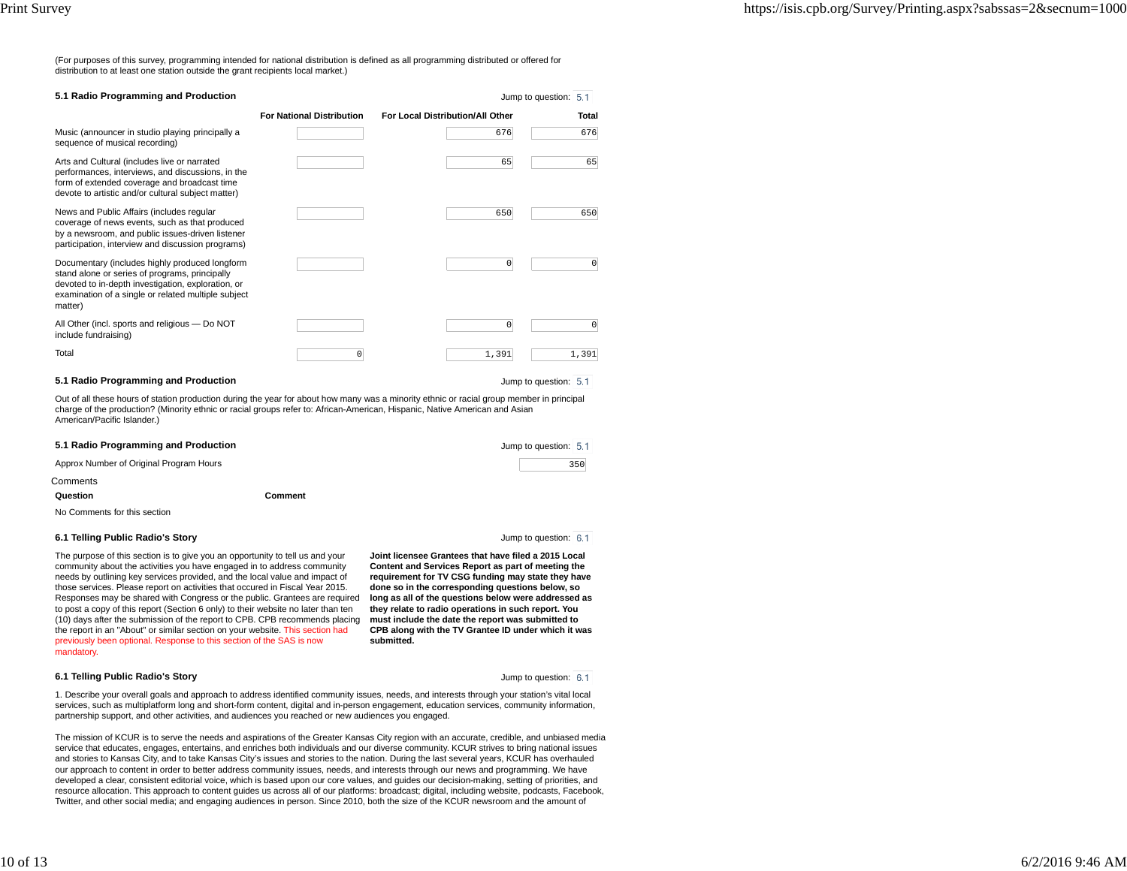(For purposes of this survey, programming intended for national distribution is defined as all programming distributed or offered fordistribution to at least one station outside the grant recipients local market.)

| 5.1 Radio Programming and Production                                                                                                                                                                                     |                                  |                                  | Jump to question: 5.1 |
|--------------------------------------------------------------------------------------------------------------------------------------------------------------------------------------------------------------------------|----------------------------------|----------------------------------|-----------------------|
|                                                                                                                                                                                                                          | <b>For National Distribution</b> | For Local Distribution/All Other | Total                 |
| Music (announcer in studio playing principally a<br>sequence of musical recording)                                                                                                                                       |                                  | 676                              | 676                   |
| Arts and Cultural (includes live or narrated<br>performances, interviews, and discussions, in the<br>form of extended coverage and broadcast time<br>devote to artistic and/or cultural subject matter)                  |                                  | 65                               | 65                    |
| News and Public Affairs (includes regular<br>coverage of news events, such as that produced<br>by a newsroom, and public issues-driven listener<br>participation, interview and discussion programs)                     |                                  | 650                              | 650                   |
| Documentary (includes highly produced longform<br>stand alone or series of programs, principally<br>devoted to in-depth investigation, exploration, or<br>examination of a single or related multiple subject<br>matter) |                                  | $^{\circ}$                       | 0                     |
| All Other (incl. sports and religious - Do NOT<br>include fundraising)                                                                                                                                                   |                                  | $\mathbf 0$                      | 0                     |
| Total                                                                                                                                                                                                                    | 0                                | 1,391                            | 1,391                 |

## **5.1 Radio Programming and Production**

Jump to question: 5.1

Out of all these hours of station production during the year for about how many was a minority ethnic or racial group member in principalcharge of the production? (Minority ethnic or racial groups refer to: African-American, Hispanic, Native American and AsianAmerican/Pacific Islander.)

| 5.1 Radio Programming and Production    | Jump to question: 5.1 |     |
|-----------------------------------------|-----------------------|-----|
| Approx Number of Original Program Hours |                       | 350 |
| Comments                                |                       |     |
| Question                                | Comment               |     |
| No Commante for this saction            |                       |     |

## **6.1 Telling Public Radio's Story**

#### Jump to question: 6.1

**Joint licensee Grantees that have filed a 2015 Local Content and Services Report as part of meeting the requirement for TV CSG funding may state they havedone so in the corresponding questions below, so long as all of the questions below were addressed asthey relate to radio operations in such report. You must include the date the report was submitted toCPB along with the TV Grantee ID under which it was**

The purpose of this section is to give you an opportunity to tell us and your community about the activities you have engaged in to address community needs by outlining key services provided, and the local value and impact of those services. Please report on activities that occured in Fiscal Year 2015. Responses may be shared with Congress or the public. Grantees are required to post a copy of this report (Section 6 only) to their website no later than ten (10) days after the submission of the report to CPB. CPB recommends placingthe report in an "About" or similar section on your website. This section hadpreviously been optional. Response to this section of the SAS is nowmandatory.

#### **6.1 Telling Public Radio's Story**

Jump to question: 6.1

1. Describe your overall goals and approach to address identified community issues, needs, and interests through your station's vital local services, such as multiplatform long and short-form content, digital and in-person engagement, education services, community information,partnership support, and other activities, and audiences you reached or new audiences you engaged.

**submitted.**

The mission of KCUR is to serve the needs and aspirations of the Greater Kansas City region with an accurate, credible, and unbiased mediaservice that educates, engages, entertains, and enriches both individuals and our diverse community. KCUR strives to bring national issues and stories to Kansas City, and to take Kansas City's issues and stories to the nation. During the last several years, KCUR has overhauled our approach to content in order to better address community issues, needs, and interests through our news and programming. We have developed a clear, consistent editorial voice, which is based upon our core values, and guides our decision-making, setting of priorities, and resource allocation. This approach to content guides us across all of our platforms: broadcast; digital, including website, podcasts, Facebook,Twitter, and other social media; and engaging audiences in person. Since 2010, both the size of the KCUR newsroom and the amount of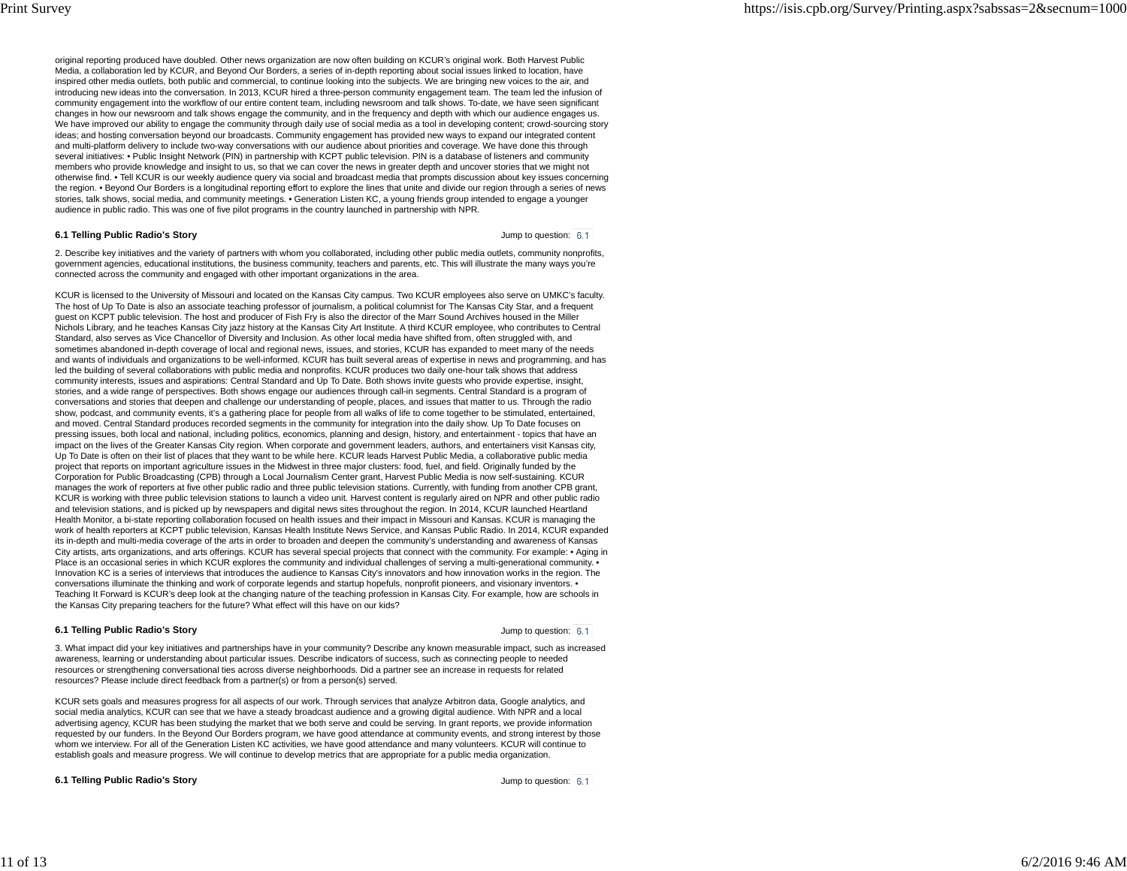original reporting produced have doubled. Other news organization are now often building on KCUR's original work. Both Harvest Public Media, a collaboration led by KCUR, and Beyond Our Borders, a series of in-depth reporting about social issues linked to location, have inspired other media outlets, both public and commercial, to continue looking into the subjects. We are bringing new voices to the air, and introducing new ideas into the conversation. In 2013, KCUR hired a three-person community engagement team. The team led the infusion of community engagement into the workflow of our entire content team, including newsroom and talk shows. To-date, we have seen significant changes in how our newsroom and talk shows engage the community, and in the frequency and depth with which our audience engages us. We have improved our ability to engage the community through daily use of social media as a tool in developing content; crowd-sourcing storyideas; and hosting conversation beyond our broadcasts. Community engagement has provided new ways to expand our integrated contentand multi-platform delivery to include two-way conversations with our audience about priorities and coverage. We have done this through several initiatives: • Public Insight Network (PIN) in partnership with KCPT public television. PIN is a database of listeners and community members who provide knowledge and insight to us, so that we can cover the news in greater depth and uncover stories that we might not otherwise find. • Tell KCUR is our weekly audience query via social and broadcast media that prompts discussion about key issues concerning the region. • Beyond Our Borders is a longitudinal reporting effort to explore the lines that unite and divide our region through a series of newsstories, talk shows, social media, and community meetings. • Generation Listen KC, a young friends group intended to engage a youngeraudience in public radio. This was one of five pilot programs in the country launched in partnership with NPR.

#### **6.1 Telling Public Radio's Story**

Jump to question: 6.1

2. Describe key initiatives and the variety of partners with whom you collaborated, including other public media outlets, community nonprofits,government agencies, educational institutions, the business community, teachers and parents, etc. This will illustrate the many ways you'reconnected across the community and engaged with other important organizations in the area.

KCUR is licensed to the University of Missouri and located on the Kansas City campus. Two KCUR employees also serve on UMKC's faculty.The host of Up To Date is also an associate teaching professor of journalism, a political columnist for The Kansas City Star, and a frequentguest on KCPT public television. The host and producer of Fish Fry is also the director of the Marr Sound Archives housed in the Miller Nichols Library, and he teaches Kansas City jazz history at the Kansas City Art Institute. A third KCUR employee, who contributes to CentralStandard, also serves as Vice Chancellor of Diversity and Inclusion. As other local media have shifted from, often struggled with, and sometimes abandoned in-depth coverage of local and regional news, issues, and stories, KCUR has expanded to meet many of the needs and wants of individuals and organizations to be well-informed. KCUR has built several areas of expertise in news and programming, and hasled the building of several collaborations with public media and nonprofits. KCUR produces two daily one-hour talk shows that address community interests, issues and aspirations: Central Standard and Up To Date. Both shows invite guests who provide expertise, insight, stories, and a wide range of perspectives. Both shows engage our audiences through call-in segments. Central Standard is a program of conversations and stories that deepen and challenge our understanding of people, places, and issues that matter to us. Through the radio show, podcast, and community events, it's a gathering place for people from all walks of life to come together to be stimulated, entertained,and moved. Central Standard produces recorded segments in the community for integration into the daily show. Up To Date focuses on pressing issues, both local and national, including politics, economics, planning and design, history, and entertainment - topics that have an impact on the lives of the Greater Kansas City region. When corporate and government leaders, authors, and entertainers visit Kansas city,Up To Date is often on their list of places that they want to be while here. KCUR leads Harvest Public Media, a collaborative public mediaproject that reports on important agriculture issues in the Midwest in three major clusters: food, fuel, and field. Originally funded by the Corporation for Public Broadcasting (CPB) through a Local Journalism Center grant, Harvest Public Media is now self-sustaining. KCUR manages the work of reporters at five other public radio and three public television stations. Currently, with funding from another CPB grant, KCUR is working with three public television stations to launch a video unit. Harvest content is regularly aired on NPR and other public radioand television stations, and is picked up by newspapers and digital news sites throughout the region. In 2014, KCUR launched Heartland Health Monitor, a bi-state reporting collaboration focused on health issues and their impact in Missouri and Kansas. KCUR is managing the work of health reporters at KCPT public television, Kansas Health Institute News Service, and Kansas Public Radio. In 2014, KCUR expandedits in-depth and multi-media coverage of the arts in order to broaden and deepen the community's understanding and awareness of Kansas City artists, arts organizations, and arts offerings. KCUR has several special projects that connect with the community. For example: • Aging inPlace is an occasional series in which KCUR explores the community and individual challenges of serving a multi-generational community. Innovation KC is a series of interviews that introduces the audience to Kansas City's innovators and how innovation works in the region. Theconversations illuminate the thinking and work of corporate legends and startup hopefuls, nonprofit pioneers, and visionary inventors. • Teaching It Forward is KCUR's deep look at the changing nature of the teaching profession in Kansas City. For example, how are schools inthe Kansas City preparing teachers for the future? What effect will this have on our kids?

#### **6.1 Telling Public Radio's Story**

Jump to question: 6.1

3. What impact did your key initiatives and partnerships have in your community? Describe any known measurable impact, such as increasedawareness, learning or understanding about particular issues. Describe indicators of success, such as connecting people to needed resources or strengthening conversational ties across diverse neighborhoods. Did a partner see an increase in requests for relatedresources? Please include direct feedback from a partner(s) or from a person(s) served.

KCUR sets goals and measures progress for all aspects of our work. Through services that analyze Arbitron data, Google analytics, and social media analytics, KCUR can see that we have a steady broadcast audience and a growing digital audience. With NPR and a local advertising agency, KCUR has been studying the market that we both serve and could be serving. In grant reports, we provide information requested by our funders. In the Beyond Our Borders program, we have good attendance at community events, and strong interest by thosewhom we interview. For all of the Generation Listen KC activities, we have good attendance and many volunteers. KCUR will continue toestablish goals and measure progress. We will continue to develop metrics that are appropriate for a public media organization.

**6.1 Telling Public Radio's Story**

Jump to question: 6.1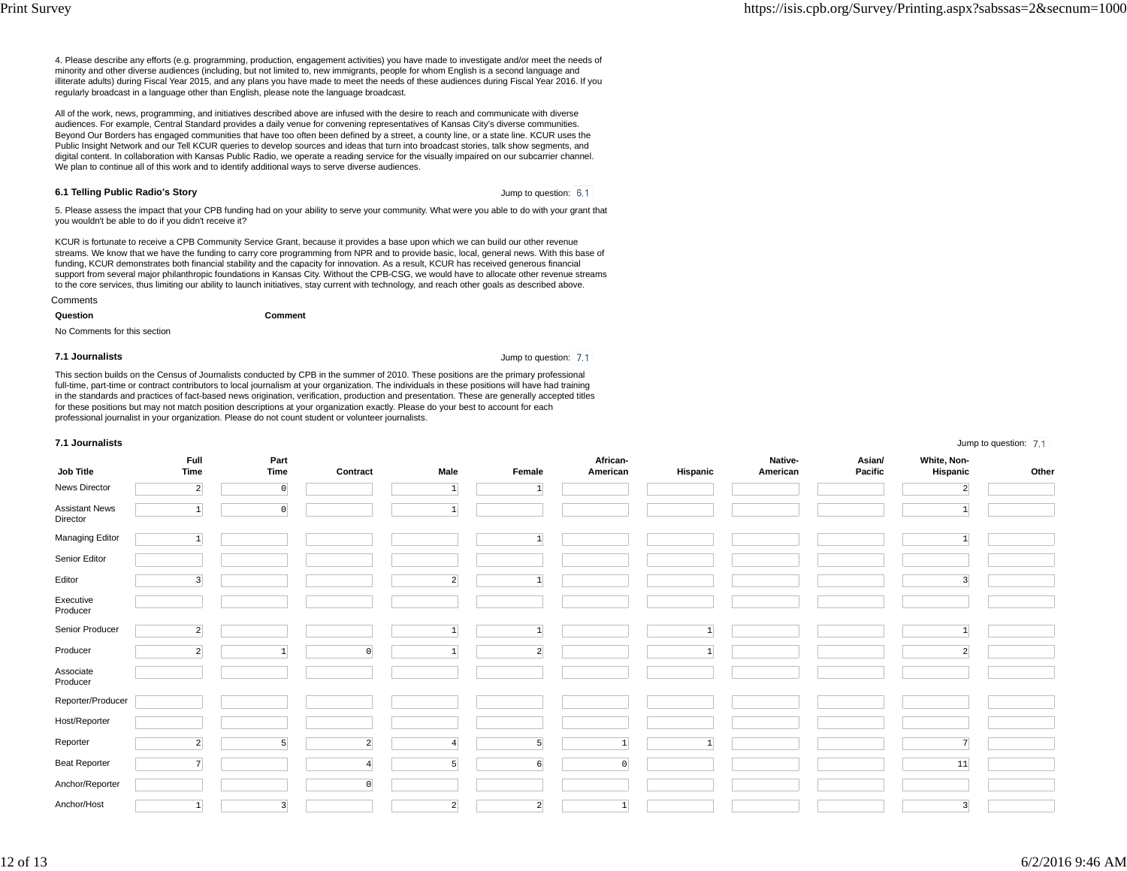Jump to question: 7.1

4. Please describe any efforts (e.g. programming, production, engagement activities) you have made to investigate and/or meet the needs ofminority and other diverse audiences (including, but not limited to, new immigrants, people for whom English is a second language and illiterate adults) during Fiscal Year 2015, and any plans you have made to meet the needs of these audiences during Fiscal Year 2016. If youregularly broadcast in a language other than English, please note the language broadcast.

All of the work, news, programming, and initiatives described above are infused with the desire to reach and communicate with diverse audiences. For example, Central Standard provides a daily venue for convening representatives of Kansas City's diverse communities. Beyond Our Borders has engaged communities that have too often been defined by a street, a county line, or a state line. KCUR uses the Public Insight Network and our Tell KCUR queries to develop sources and ideas that turn into broadcast stories, talk show segments, and digital content. In collaboration with Kansas Public Radio, we operate a reading service for the visually impaired on our subcarrier channel.We plan to continue all of this work and to identify additional ways to serve diverse audiences.

#### **6.1 Telling Public Radio's Story**

Jump to question: 6.1

5. Please assess the impact that your CPB funding had on your ability to serve your community. What were you able to do with your grant thatyou wouldn't be able to do if you didn't receive it?

KCUR is fortunate to receive a CPB Community Service Grant, because it provides a base upon which we can build our other revenue streams. We know that we have the funding to carry core programming from NPR and to provide basic, local, general news. With this base offunding, KCUR demonstrates both financial stability and the capacity for innovation. As a result, KCUR has received generous financial support from several major philanthropic foundations in Kansas City. Without the CPB-CSG, we would have to allocate other revenue streamsto the core services, thus limiting our ability to launch initiatives, stay current with technology, and reach other goals as described above.

**Comments Question**

No Comments for this section

#### **7.1 Journalists**

Jump to question: 7.1

This section builds on the Census of Journalists conducted by CPB in the summer of 2010. These positions are the primary professional full-time, part-time or contract contributors to local journalism at your organization. The individuals in these positions will have had training in the standards and practices of fact-based news origination, verification, production and presentation. These are generally accepted titlesfor these positions but may not match position descriptions at your organization exactly. Please do your best to account for eachprofessional journalist in your organization. Please do not count student or volunteer journalists.

**Comment**

#### **7.1 Journalists**

| Job Title                         | Full<br>Time    | Part<br>Time            | Contract       | Male           | Female          | African-<br>American | Hispanic | Native-<br>American | Asian/<br>Pacific | White, Non-<br>Hispanic | Other |
|-----------------------------------|-----------------|-------------------------|----------------|----------------|-----------------|----------------------|----------|---------------------|-------------------|-------------------------|-------|
| News Director                     | $\overline{2}$  | $\circ$                 |                | $\mathbf{1}$   | $\mathbf{1}$    |                      |          |                     |                   | $\overline{2}$          |       |
| <b>Assistant News</b><br>Director | $\mathbf{1}$    | $\circ$                 |                | $\mathbf{1}$   |                 |                      |          |                     |                   | $\vert 1 \vert$         |       |
| Managing Editor                   | $\mathbf{1}$    |                         |                |                | $\vert 1 \vert$ |                      |          |                     |                   | $\mathbf{1}$            |       |
| Senior Editor                     |                 |                         |                |                |                 |                      |          |                     |                   |                         |       |
| Editor                            | $\overline{3}$  |                         |                | $\overline{2}$ | $\mathbf{1}$    |                      |          |                     |                   | 3                       |       |
| Executive<br>Producer             |                 |                         |                |                |                 |                      |          |                     |                   |                         |       |
| Senior Producer                   | $\overline{2}$  |                         |                |                | $\mathbf{1}$    |                      |          |                     |                   | $\mathbf{1}$            |       |
| Producer                          | $\overline{2}$  |                         | $\Omega$       |                | $\vert$ 2       |                      |          |                     |                   | $\overline{2}$          |       |
| Associate<br>Producer             |                 |                         |                |                |                 |                      |          |                     |                   |                         |       |
| Reporter/Producer                 |                 |                         |                |                |                 |                      |          |                     |                   |                         |       |
| Host/Reporter                     |                 |                         |                |                |                 |                      |          |                     |                   |                         |       |
| Reporter                          | $\overline{2}$  | 5                       | $\overline{2}$ |                | 5 <sub>5</sub>  | $\mathbf{1}$         |          |                     |                   | $\overline{7}$          |       |
| <b>Beat Reporter</b>              | 7               |                         | $\overline{4}$ | 5              | $6 \mid$        | $\overline{0}$       |          |                     |                   | 11                      |       |
| Anchor/Reporter                   |                 |                         | $\mathbf 0$    |                |                 |                      |          |                     |                   |                         |       |
| Anchor/Host                       | $\vert 1 \vert$ | $\overline{\mathbf{3}}$ |                | $\vert$ 2      | $\vert$ 2       | $\mathbf{1}$         |          |                     |                   | $\overline{\mathbf{3}}$ |       |

12 of 13